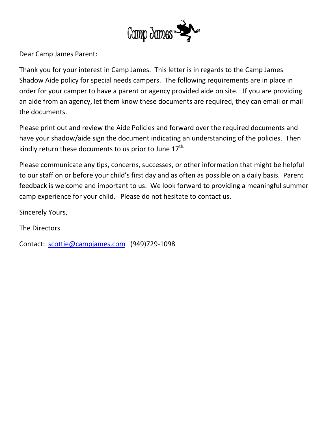

Dear Camp James Parent:

Thank you for your interest in Camp James. This letter is in regards to the Camp James Shadow Aide policy for special needs campers. The following requirements are in place in order for your camper to have a parent or agency provided aide on site. If you are providing an aide from an agency, let them know these documents are required, they can email or mail the documents.

Please print out and review the Aide Policies and forward over the required documents and have your shadow/aide sign the document indicating an understanding of the policies. Then kindly return these documents to us prior to June  $17^{\text{th}}$ .

Please communicate any tips, concerns, successes, or other information that might be helpful to our staff on or before your child's first day and as often as possible on a daily basis. Parent feedback is welcome and important to us. We look forward to providing a meaningful summer camp experience for your child. Please do not hesitate to contact us.

Sincerely Yours,

The Directors

Contact: scottie@campjames.com (949)729-1098